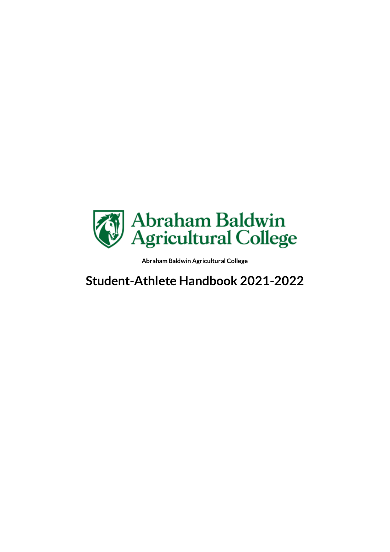

## **Student-Athlete Handbook 2021-2022**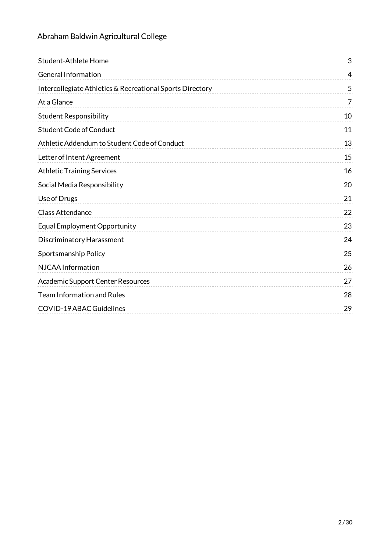| Student-Athlete Home                                      | 3              |
|-----------------------------------------------------------|----------------|
| <b>General Information</b>                                | 4              |
| Intercollegiate Athletics & Recreational Sports Directory | 5              |
| At a Glance                                               | $\overline{7}$ |
| <b>Student Responsibility</b>                             | 10             |
| <b>Student Code of Conduct</b>                            | 11             |
| Athletic Addendum to Student Code of Conduct              | 13             |
| Letter of Intent Agreement                                | 15             |
| <b>Athletic Training Services</b>                         | 16             |
| Social Media Responsibility                               | 20             |
| Use of Drugs                                              | 21             |
| <b>Class Attendance</b>                                   | 22             |
| Equal Employment Opportunity                              | 23             |
| Discriminatory Harassment                                 | 24             |
| Sportsmanship Policy                                      | 25             |
| NJCAA Information                                         | 26             |
| <b>Academic Support Center Resources</b>                  | 27             |
| <b>Team Information and Rules</b>                         | 28             |
| <b>COVID-19 ABAC Guidelines</b>                           | 29             |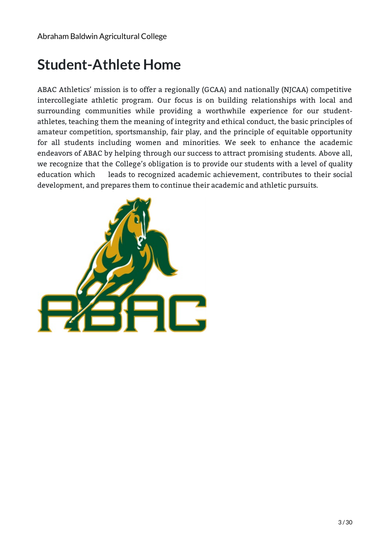## <span id="page-2-0"></span>**Student-Athlete Home**

ABAC Athletics' mission is to offer a regionally (GCAA) and nationally (NJCAA) competitive intercollegiate athletic program. Our focus is on building relationships with local and surrounding communities while providing a worthwhile experience for our studentathletes, teaching them the meaning of integrity and ethical conduct, the basic principles of amateur competition, sportsmanship, fair play, and the principle of equitable opportunity for all students including women and minorities. We seek to enhance the academic endeavors of ABAC by helping through our success to attract promising students. Above all, we recognize that the College's obligation is to provide our students with a level of quality education which leads to recognized academic achievement, contributes to their social development, and prepares them to continue their academic and athletic pursuits.

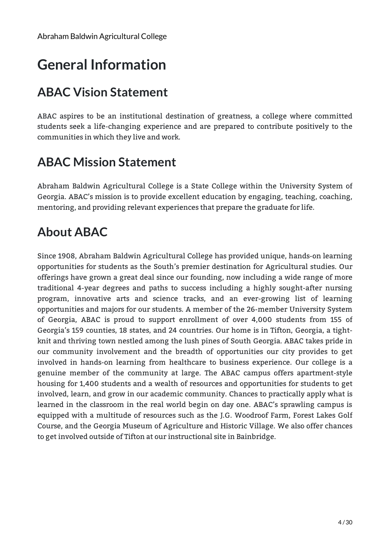## <span id="page-3-0"></span>**General Information**

### **ABAC Vision [Statement](file:///pages/null)**

ABAC aspires to be an institutional destination of greatness, a college where committed students seek a life-changing experience and are prepared to contribute positively to the communities in which they live and work.

### **ABAC Mission [Statement](file:///pages/null)**

Abraham Baldwin Agricultural College is a State College within the University System of Georgia. ABAC's mission is to provide excellent education by engaging, teaching, coaching, mentoring, and providing relevant experiences that prepare the graduate for life.

### **[About](file:///pages/null) ABAC**

Since 1908, Abraham Baldwin Agricultural College has provided unique, hands-on learning opportunities for students as the South's premier destination for Agricultural studies. Our offerings have grown a great deal since our founding, now including a wide range of more traditional 4-year degrees and paths to success including a highly sought-after nursing program, innovative arts and science tracks, and an ever-growing list of learning opportunities and majors for our students. A member of the 26-member University System of Georgia, ABAC is proud to support enrollment of over 4,000 students from 155 of Georgia's 159 counties, 18 states, and 24 countries. Our home is in Tifton, Georgia, a tightknit and thriving town nestled among the lush pines of South Georgia. ABAC takes pride in our community involvement and the breadth of opportunities our city provides to get involved in hands-on learning from healthcare to business experience. Our college is a genuine member of the community at large. The ABAC campus offers apartment-style housing for 1,400 students and a wealth of resources and opportunities for students to get involved, learn, and grow in our academic community. Chances to practically apply what is learned in the classroom in the real world begin on day one. ABAC's sprawling campus is equipped with a multitude of resources such as the J.G. Woodroof Farm, Forest Lakes Golf Course, and the Georgia Museum of Agriculture and Historic Village. We also offer chances to get involved outside of Tifton at our instructional site in Bainbridge.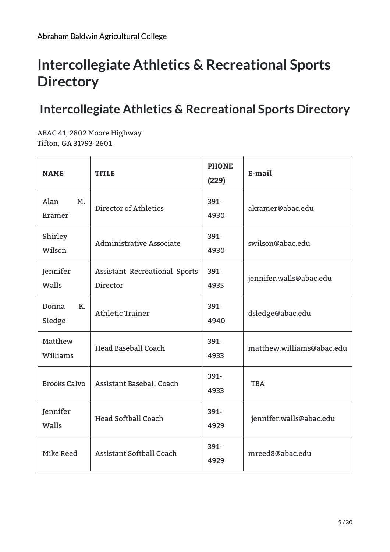# <span id="page-4-0"></span>**Intercollegiate Athletics & Recreational Sports Directory**

## **Intercollegiate Athletics & Recreational Sports Directory**

ABAC 41, 2802 Moore Highway Tifton, GA 31793-2601

| <b>NAME</b>           | <b>TITLE</b>                              | <b>PHONE</b><br>(229) | E-mail                    |
|-----------------------|-------------------------------------------|-----------------------|---------------------------|
| Alan<br>M.<br>Kramer  | Director of Athletics                     | 391-<br>4930          | akramer@abac.edu          |
| Shirley<br>Wilson     | Administrative Associate                  | 391-<br>4930          | swilson@abac.edu          |
| Jennifer<br>Walls     | Assistant Recreational Sports<br>Director | 391-<br>4935          | jennifer.walls@abac.edu   |
| K.<br>Donna<br>Sledge | <b>Athletic Trainer</b>                   | 391-<br>4940          | dsledge@abac.edu          |
| Matthew<br>Williams   | Head Baseball Coach                       | 391-<br>4933          | matthew.williams@abac.edu |
| <b>Brooks Calvo</b>   | Assistant Baseball Coach                  | 391-<br>4933          | <b>TBA</b>                |
| Jennifer<br>Walls     | <b>Head Softball Coach</b>                | 391-<br>4929          | jennifer.walls@abac.edu   |
| Mike Reed             | <b>Assistant Softball Coach</b>           | 391-<br>4929          | mreed8@abac.edu           |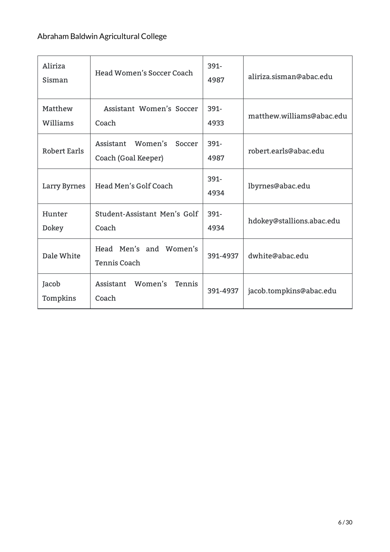| Aliriza<br>Sisman   | Head Women's Soccer Coach                             | $391 -$<br>4987 | aliriza.sisman@abac.edu   |
|---------------------|-------------------------------------------------------|-----------------|---------------------------|
| Matthew<br>Williams | Assistant Women's Soccer<br>Coach                     | 391-<br>4933    | matthew.williams@abac.edu |
| <b>Robert Earls</b> | Women's<br>Assistant<br>Soccer<br>Coach (Goal Keeper) | 391-<br>4987    | robert.earls@abac.edu     |
| Larry Byrnes        | Head Men's Golf Coach                                 | 391-<br>4934    | lbyrnes@abac.edu          |
| Hunter<br>Dokey     | Student-Assistant Men's Golf<br>Coach                 | 391-<br>4934    | hdokey@stallions.abac.edu |
| Dale White          | Head Men's and Women's<br>Tennis Coach                | 391-4937        | dwhite@abac.edu           |
| Jacob<br>Tompkins   | Assistant Women's<br>Tennis<br>Coach                  | 391-4937        | jacob.tompkins@abac.edu   |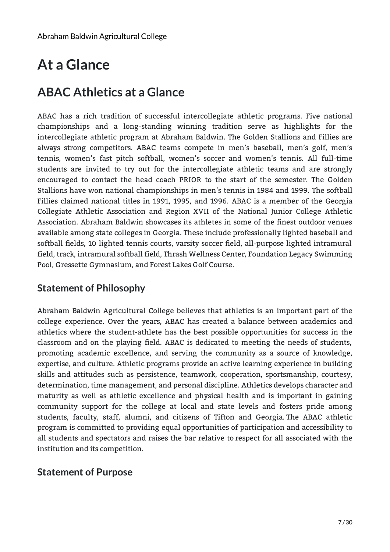# <span id="page-6-0"></span>**At a Glance**

### **ABAC Athletics at a Glance**

ABAC has a rich tradition of successful intercollegiate athletic programs. Five national championships and a long-standing winning tradition serve as highlights for the intercollegiate athletic program at Abraham Baldwin. The Golden Stallions and Fillies are always strong competitors. ABAC teams compete in men's baseball, men's golf, men's tennis, women's fast pitch softball, women's soccer and women's tennis. All full-time students are invited to try out for the intercollegiate athletic teams and are strongly encouraged to contact the head coach PRIOR to the start of the semester. The Golden Stallions have won national championships in men's tennis in 1984 and 1999. The softball Fillies claimed national titles in 1991, 1995, and 1996. ABAC is a member of the Georgia Collegiate Athletic Association and Region XVII of the National Junior College Athletic Association. Abraham Baldwin showcases its athletes in some of the finest outdoor venues available among state colleges in Georgia. These include professionally lighted baseball and softball fields, 10 lighted tennis courts, varsity soccer field, all-purpose lighted intramural field, track, intramural softball field, Thrash Wellness Center, Foundation Legacy Swimming Pool, Gressette Gymnasium, and Forest Lakes Golf Course.

### **Statement of Philosophy**

Abraham Baldwin Agricultural College believes that athletics is an important part of the college experience. Over the years, ABAC has created a balance between academics and athletics where the student-athlete has the best possible opportunities for success in the classroom and on the playing field. ABAC is dedicated to meeting the needs of students, promoting academic excellence, and serving the community as a source of knowledge, expertise, and culture. Athletic programs provide an active learning experience in building skills and attitudes such as persistence, teamwork, cooperation, sportsmanship, courtesy, determination, time management, and personal discipline. Athletics develops character and maturity as well as athletic excellence and physical health and is important in gaining community support for the college at local and state levels and fosters pride among students, faculty, staff, alumni, and citizens of Tifton and Georgia. The ABAC athletic program is committed to providing equal opportunities of participation and accessibility to all students and spectators and raises the bar relative to respect for all associated with the institution and its competition.

#### **Statement of Purpose**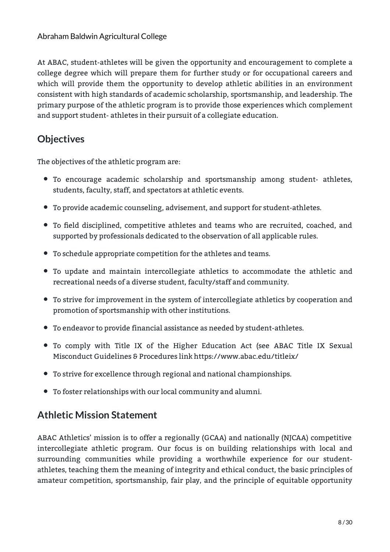At ABAC, student-athletes will be given the opportunity and encouragement to complete a college degree which will prepare them for further study or for occupational careers and which will provide them the opportunity to develop athletic abilities in an environment consistent with high standards of academic scholarship, sportsmanship, and leadership. The primary purpose of the athletic program is to provide those experiences which complement and support student- athletes in their pursuit of a collegiate education.

### **Objectives**

The objectives of the athletic program are:

- To encourage academic scholarship and sportsmanship among student- athletes, students, faculty, staff, and spectators at athletic events.
- To provide academic counseling, advisement, and support for student-athletes.
- To field disciplined, competitive athletes and teams who are recruited, coached, and supported by professionals dedicated to the observation of all applicable rules.
- To schedule appropriate competition for the athletes and teams.
- To update and maintain intercollegiate athletics to accommodate the athletic and recreational needs of a diverse student, faculty/staff and community.
- To strive for improvement in the system of intercollegiate athletics by cooperation and promotion of sportsmanship with other institutions.
- To endeavor to provide financial assistance as needed by student-athletes.
- To comply with Title IX of the Higher Education Act (see ABAC Title IX Sexual Misconduct Guidelines & Procedures link [https://www.abac.edu/titleix/](file:///pages/null)
- To strive for excellence through regional and national championships.
- To foster relationships with our local community and alumni.

### **Athletic Mission Statement**

ABAC Athletics' mission is to offer a regionally (GCAA) and nationally (NJCAA) competitive intercollegiate athletic program. Our focus is on building relationships with local and surrounding communities while providing a worthwhile experience for our studentathletes, teaching them the meaning of integrity and ethical conduct, the basic principles of amateur competition, sportsmanship, fair play, and the principle of equitable opportunity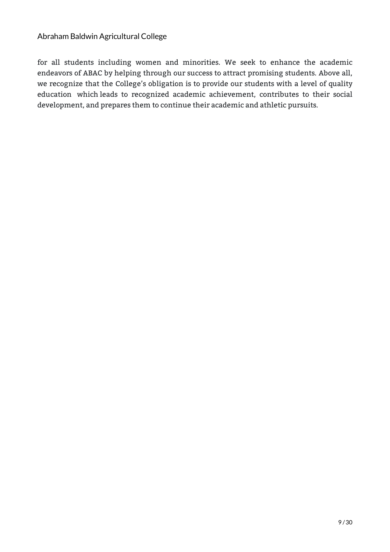for all students including women and minorities. We seek to enhance the academic endeavors of ABAC by helping through our success to attract promising students. Above all, we recognize that the College's obligation is to provide our students with a level of quality education which leads to recognized academic achievement, contributes to their social development, and prepares them to continue their academic and athletic pursuits.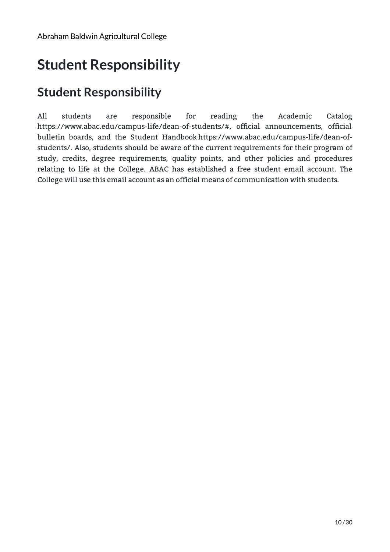# <span id="page-9-0"></span>**Student Responsibility**

## **Student Responsibility**

All students are responsible for reading the Academic Catalog [https://www.abac.edu/campus-life/dean-of-students/#,](https://www.abac.edu/campus-%20life/dean-of-students/#) official announcements, official bulletin boards, and the Student Handbook [https://www.abac.edu/campus-life/dean-of](https://www.abac.edu/campus-life/dean-of-students/)students/. Also, students should be aware of the current requirements for their program of study, credits, degree requirements, quality points, and other policies and procedures relating to life at the College. ABAC has established a free student email account. The College will use this email account as an official means of communication with students.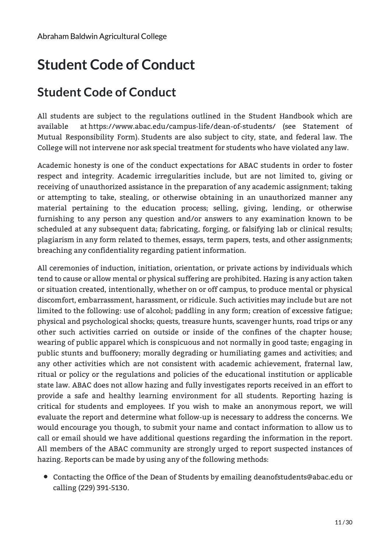# <span id="page-10-0"></span>**Student Code of Conduct**

## **Student Code of Conduct**

All students are subject to the regulations outlined in the Student Handbook which are available at <https://www.abac.edu/campus-life/dean-of-students/> (see Statement of Mutual Responsibility Form). Students are also subject to city, state, and federal law. The College will not intervene nor ask special treatment for students who have violated any law.

Academic honesty is one of the conduct expectations for ABAC students in order to foster respect and integrity. Academic irregularities include, but are not limited to, giving or receiving of unauthorized assistance in the preparation of any academic assignment; taking or attempting to take, stealing, or otherwise obtaining in an unauthorized manner any material pertaining to the education process; selling, giving, lending, or otherwise furnishing to any person any question and/or answers to any examination known to be scheduled at any subsequent data; fabricating, forging, or falsifying lab or clinical results; plagiarism in any form related to themes, essays, term papers, tests, and other assignments; breaching any confidentiality regarding patient information.

All ceremonies of induction, initiation, orientation, or private actions by individuals which tend to cause or allow mental or physical suffering are prohibited. Hazing is any action taken or situation created, intentionally, whether on or off campus, to produce mental or physical discomfort, embarrassment, harassment, or ridicule. Such activities may include but are not limited to the following: use of alcohol; paddling in any form; creation of excessive fatigue; physical and psychological shocks; quests, treasure hunts, scavenger hunts, road trips or any other such activities carried on outside or inside of the confines of the chapter house; wearing of public apparel which is conspicuous and not normally in good taste; engaging in public stunts and buffoonery; morally degrading or humiliating games and activities; and any other activities which are not consistent with academic achievement, fraternal law, ritual or policy or the regulations and policies of the educational institution or applicable state law. ABAC does not allow hazing and fully investigates reports received in an effort to provide a safe and healthy learning environment for all students. Reporting hazing is critical for students and employees. If you wish to make an anonymous report, we will evaluate the report and determine what follow-up is necessary to address the concerns. We would encourage you though, to submit your name and contact information to allow us to call or email should we have additional questions regarding the information in the report. All members of the ABAC community are strongly urged to report suspected instances of hazing. Reports can be made by using any of the following methods:

Contacting the Office of the Dean of Students by emailing deanofstudents@abac.edu or calling (229) 391-5130.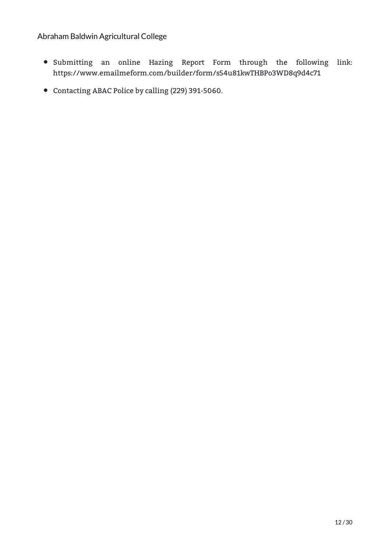- Submitting an online Hazing Report Form through the following link: <https://www.emailmeform.com/builder/form/s54u81kwTHBPo3WD8q9d4c71>
- Contacting ABAC Police by calling (229) 391-5060.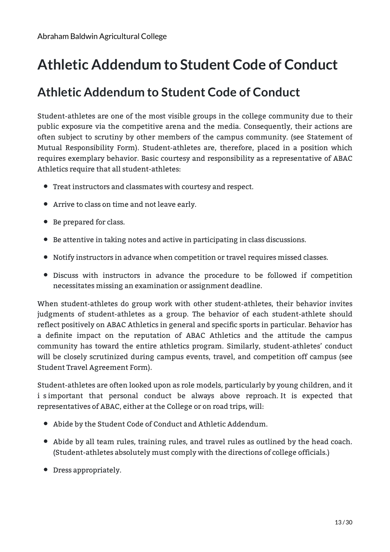## <span id="page-12-0"></span>**Athletic Addendum to Student Code of Conduct**

### **Athletic Addendum to Student Code of Conduct**

Student-athletes are one of the most visible groups in the college community due to their public exposure via the competitive arena and the media. Consequently, their actions are often subject to scrutiny by other members of the campus community. (see Statement of Mutual Responsibility Form). Student-athletes are, therefore, placed in a position which requires exemplary behavior. Basic courtesy and responsibility as a representative of ABAC Athletics require that all student-athletes:

- Treat instructors and classmates with courtesy and respect.
- Arrive to class on time and not leave early.
- Be prepared for class.
- Be attentive in taking notes and active in participating in class discussions.
- Notify instructors in advance when competition or travel requires missed classes.
- Discuss with instructors in advance the procedure to be followed if competition necessitates missing an examination or assignment deadline.

When student-athletes do group work with other student-athletes, their behavior invites judgments of student-athletes as a group. The behavior of each student-athlete should reflect positively on ABAC Athletics in general and specific sports in particular. Behavior has a definite impact on the reputation of ABAC Athletics and the attitude the campus community has toward the entire athletics program. Similarly, student-athletes' conduct will be closely scrutinized during campus events, travel, and competition off campus (see Student Travel Agreement Form).

Student-athletes are often looked upon as role models, particularly by young children, and it i simportant that personal conduct be always above reproach. It is expected that representatives of ABAC, either at the College or on road trips, will:

- Abide by the Student Code of Conduct and Athletic Addendum.
- Abide by all team rules, training rules, and travel rules as outlined by the head coach. (Student-athletes absolutely must comply with the directions of college officials.)
- Dress appropriately.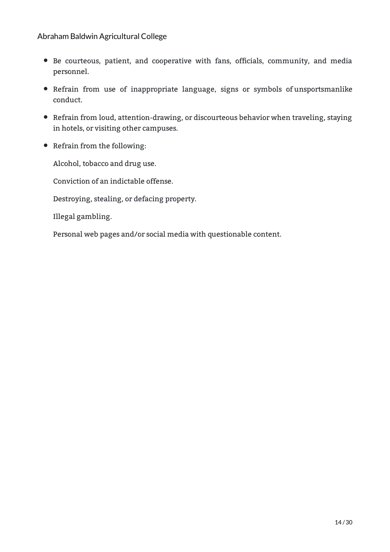- Be courteous, patient, and cooperative with fans, officials, community, and media personnel.
- Refrain from use of inappropriate language, signs or symbols of unsportsmanlike conduct.
- Refrain from loud, attention-drawing, or discourteous behavior when traveling, staying in hotels, or visiting other campuses.
- Refrain from the following:

Alcohol, tobacco and drug use.

Conviction of an indictable offense.

Destroying, stealing, or defacing property.

Illegal gambling.

Personal web pages and/or social media with questionable content.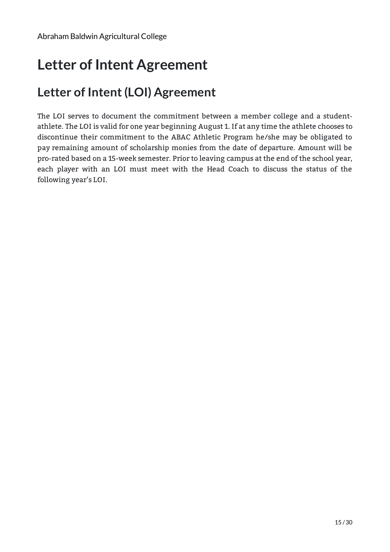## <span id="page-14-0"></span>**Letter of Intent Agreement**

## **Letter of Intent (LOI) Agreement**

The LOI serves to document the commitment between a member college and a studentathlete. The LOI is valid for one year beginning August 1. If at any time the athlete chooses to discontinue their commitment to the ABAC Athletic Program he/she may be obligated to pay remaining amount of scholarship monies from the date of departure. Amount will be pro-rated based on a 15-week semester. Prior to leaving campus at the end of the school year, each player with an LOI must meet with the Head Coach to discuss the status of the following year's LOI.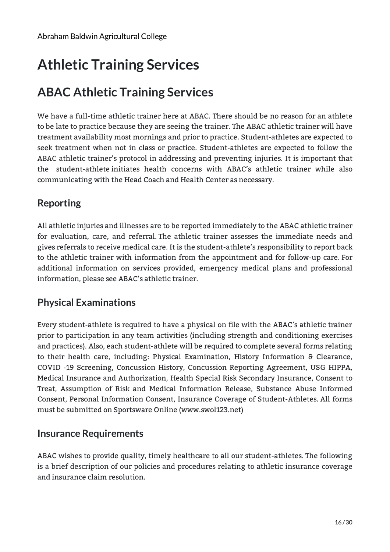# <span id="page-15-0"></span>**Athletic Training Services**

## **ABAC Athletic Training Services**

We have a full-time athletic trainer here at ABAC. There should be no reason for an athlete to be late to practice because they are seeing the trainer. The ABAC athletic trainer will have treatment availability most mornings and prior to practice. Student-athletes are expected to seek treatment when not in class or practice. Student-athletes are expected to follow the ABAC athletic trainer's protocol in addressing and preventing injuries. It is important that the student-athlete initiates health concerns with ABAC's athletic trainer while also communicating with the Head Coach and Health Center as necessary.

### **Reporting**

All athletic injuries and illnesses are to be reported immediately to the ABAC athletic trainer for evaluation, care, and referral. The athletic trainer assesses the immediate needs and gives referrals to receive medical care. It is the student-athlete's responsibility to report back to the athletic trainer with information from the appointment and for follow-up care. For additional information on services provided, emergency medical plans and professional information, please see ABAC's athletic trainer.

### **Physical Examinations**

Every student-athlete is required to have a physical on file with the ABAC's athletic trainer prior to participation in any team activities (including strength and conditioning exercises and practices). Also, each student-athlete will be required to complete several forms relating to their health care, including: Physical Examination, History Information & Clearance, COVID -19 Screening, Concussion History, Concussion Reporting Agreement, USG HIPPA, Medical Insurance and Authorization, Health Special Risk Secondary Insurance, Consent to Treat, Assumption of Risk and Medical Information Release, Substance Abuse Informed Consent, Personal Information Consent, Insurance Coverage of Student-Athletes. All forms must be submitted on Sportsware Online (www.swol123.net)

### **Insurance Requirements**

ABAC wishes to provide quality, timely healthcare to all our student-athletes. The following is a brief description of our policies and procedures relating to athletic insurance coverage and insurance claim resolution.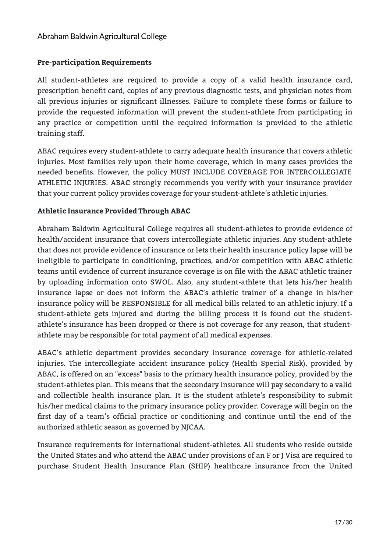#### **Pre-participation Requirements**

All student-athletes are required to provide a copy of a valid health insurance card, prescription benefit card, copies of any previous diagnostic tests, and physician notes from all previous injuries or significant illnesses. Failure to complete these forms or failure to provide the requested information will prevent the student-athlete from participating in any practice or competition until the required information is provided to the athletic training staff.

ABAC requires every student-athlete to carry adequate health insurance that covers athletic injuries. Most families rely upon their home coverage, which in many cases provides the needed benefits. However, the policy MUST INCLUDE COVERAGE FOR INTERCOLLEGIATE ATHLETIC INJURIES. ABAC strongly recommends you verify with your insurance provider that your current policy provides coverage for your student-athlete's athletic injuries.

#### **Athletic Insurance Provided Through ABAC**

Abraham Baldwin Agricultural College requires all student-athletes to provide evidence of health/accident insurance that covers intercollegiate athletic injuries. Any student-athlete that does not provide evidence of insurance or lets their health insurance policy lapse will be ineligible to participate in conditioning, practices, and/or competition with ABAC athletic teams until evidence of current insurance coverage is on file with the ABAC athletic trainer by uploading information onto SWOL. Also, any student-athlete that lets his/her health insurance lapse or does not inform the ABAC's athletic trainer of a change in his/her insurance policy will be RESPONSIBLE for all medical bills related to an athletic injury. If a student-athlete gets injured and during the billing process it is found out the studentathlete's insurance has been dropped or there is not coverage for any reason, that studentathlete may be responsible for total payment of all medical expenses.

ABAC's athletic department provides secondary insurance coverage for athletic-related injuries. The intercollegiate accident insurance policy (Health Special Risk), provided by ABAC, is offered on an "excess" basis to the primary health insurance policy, provided by the student-athletes plan. This means that the secondary insurance will pay secondary to a valid and collectible health insurance plan. It is the student athlete's responsibility to submit his/her medical claims to the primary insurance policy provider. Coverage will begin on the first day of a team's official practice or conditioning and continue until the end of the authorized athletic season as governed by NJCAA.

Insurance requirements for international student-athletes. All students who reside outside the United States and who attend the ABAC under provisions of an F or J Visa are required to purchase Student Health Insurance Plan (SHIP) healthcare insurance from the United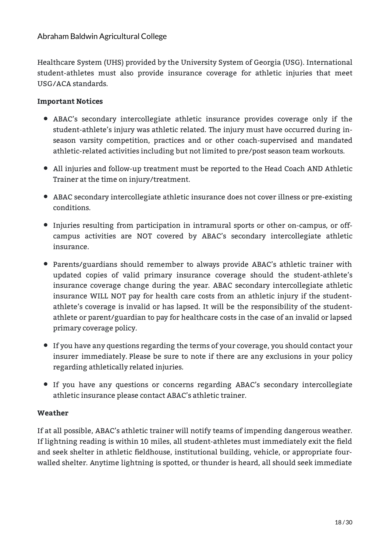Healthcare System (UHS) provided by the University System of Georgia (USG). International student-athletes must also provide insurance coverage for athletic injuries that meet USG/ACA standards.

#### **Important Notices**

- ABAC's secondary intercollegiate athletic insurance provides coverage only if the student-athlete's injury was athletic related. The injury must have occurred during inseason varsity competition, practices and or other coach-supervised and mandated athletic-related activities including but not limited to pre/post season team workouts.
- All injuries and follow-up treatment must be reported to the Head Coach AND Athletic Trainer at the time on injury/treatment.
- ABAC secondary intercollegiate athletic insurance does not cover illness or pre-existing conditions.
- Injuries resulting from participation in intramural sports or other on-campus, or offcampus activities are NOT covered by ABAC's secondary intercollegiate athletic insurance.
- Parents/guardians should remember to always provide ABAC's athletic trainer with updated copies of valid primary insurance coverage should the student-athlete's insurance coverage change during the year. ABAC secondary intercollegiate athletic insurance WILL NOT pay for health care costs from an athletic injury if the studentathlete's coverage is invalid or has lapsed. It will be the responsibility of the studentathlete or parent/guardian to pay for healthcare costs in the case of an invalid or lapsed primary coverage policy.
- If you have any questions regarding the terms of your coverage, you should contact your insurer immediately. Please be sure to note if there are any exclusions in your policy regarding athletically related injuries.
- If you have any questions or concerns regarding ABAC's secondary intercollegiate athletic insurance please contact ABAC's athletic trainer.

#### **Weather**

If at all possible, ABAC's athletic trainer will notify teams of impending dangerous weather. If lightning reading is within 10 miles, all student-athletes must immediately exit the field and seek shelter in athletic fieldhouse, institutional building, vehicle, or appropriate fourwalled shelter. Anytime lightning is spotted, or thunder is heard, all should seek immediate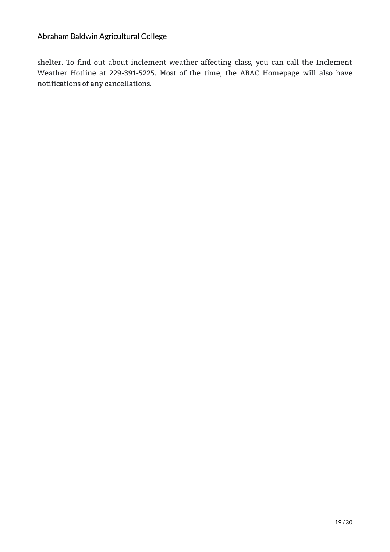shelter. To find out about inclement weather affecting class, you can call the Inclement Weather Hotline at 229-391-5225. Most of the time, the ABAC Homepage will also have notifications of any cancellations.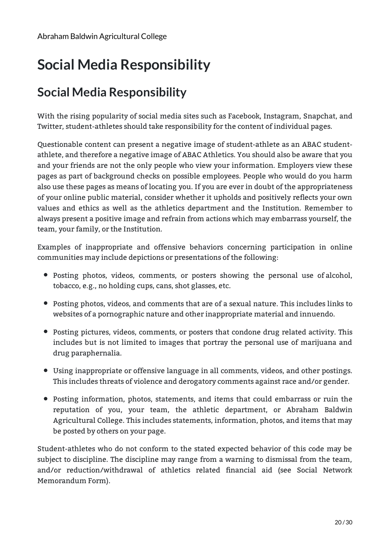# <span id="page-19-0"></span>**Social Media Responsibility**

## **Social Media Responsibility**

With the rising popularity of social media sites such as Facebook, Instagram, Snapchat, and Twitter, student-athletes should take responsibility for the content of individual pages.

Questionable content can present a negative image of student-athlete as an ABAC studentathlete, and therefore a negative image of ABAC Athletics. You should also be aware that you and your friends are not the only people who view your information. Employers view these pages as part of background checks on possible employees. People who would do you harm also use these pages as means of locating you. If you are ever in doubt of the appropriateness of your online public material, consider whether it upholds and positively reflects your own values and ethics as well as the athletics department and the Institution. Remember to always present a positive image and refrain from actions which may embarrass yourself, the team, your family, or the Institution.

Examples of inappropriate and offensive behaviors concerning participation in online communities may include depictions or presentations of the following:

- Posting photos, videos, comments, or posters showing the personal use of alcohol, tobacco, e.g., no holding cups, cans, shot glasses, etc.
- Posting photos, videos, and comments that are of a sexual nature. This includes links to websites of a pornographic nature and other inappropriate material and innuendo.
- Posting pictures, videos, comments, or posters that condone drug related activity. This includes but is not limited to images that portray the personal use of marijuana and drug paraphernalia.
- Using inappropriate or offensive language in all comments, videos, and other postings. This includes threats of violence and derogatory comments against race and/or gender.
- Posting information, photos, statements, and items that could embarrass or ruin the reputation of you, your team, the athletic department, or Abraham Baldwin Agricultural College. This includes statements, information, photos, and items that may be posted by others on your page.

Student-athletes who do not conform to the stated expected behavior of this code may be subject to discipline. The discipline may range from a warning to dismissal from the team, and/or reduction/withdrawal of athletics related financial aid (see Social Network Memorandum Form).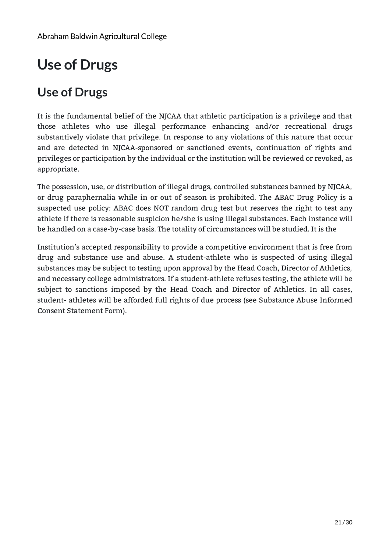# <span id="page-20-0"></span>**Use of Drugs**

### **Use of Drugs**

It is the fundamental belief of the NJCAA that athletic participation is a privilege and that those athletes who use illegal performance enhancing and/or recreational drugs substantively violate that privilege. In response to any violations of this nature that occur and are detected in NJCAA-sponsored or sanctioned events, continuation of rights and privileges or participation by the individual or the institution will be reviewed or revoked, as appropriate.

The possession, use, or distribution of illegal drugs, controlled substances banned by NJCAA, or drug paraphernalia while in or out of season is prohibited. The ABAC Drug Policy is a suspected use policy: ABAC does NOT random drug test but reserves the right to test any athlete if there is reasonable suspicion he/she is using illegal substances. Each instance will be handled on a case-by-case basis. The totality of circumstances will be studied. It is the

Institution's accepted responsibility to provide a competitive environment that is free from drug and substance use and abuse. A student-athlete who is suspected of using illegal substances may be subject to testing upon approval by the Head Coach, Director of Athletics, and necessary college administrators. If a student-athlete refuses testing, the athlete will be subject to sanctions imposed by the Head Coach and Director of Athletics. In all cases, student- athletes will be afforded full rights of due process (see Substance Abuse Informed Consent Statement Form).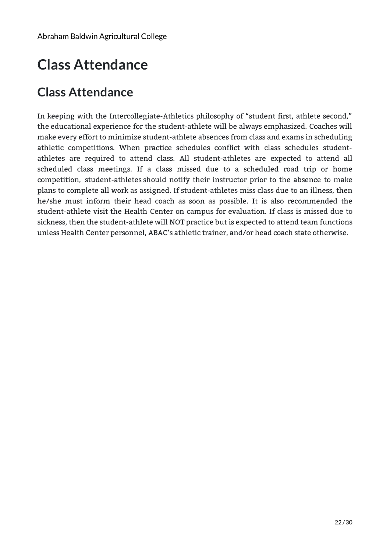# <span id="page-21-0"></span>**Class Attendance**

### **Class Attendance**

In keeping with the Intercollegiate-Athletics philosophy of "student first, athlete second," the educational experience for the student-athlete will be always emphasized. Coaches will make every effort to minimize student-athlete absences from class and exams in scheduling athletic competitions. When practice schedules conflict with class schedules studentathletes are required to attend class. All student-athletes are expected to attend all scheduled class meetings. If a class missed due to a scheduled road trip or home competition, student-athletes should notify their instructor prior to the absence to make plans to complete all work as assigned. If student-athletes miss class due to an illness, then he/she must inform their head coach as soon as possible. It is also recommended the student-athlete visit the Health Center on campus for evaluation. If class is missed due to sickness, then the student-athlete will NOT practice but is expected to attend team functions unless Health Center personnel, ABAC's athletic trainer, and/or head coach state otherwise.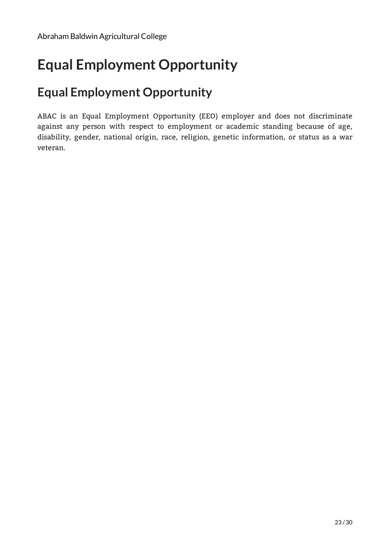# <span id="page-22-0"></span>**Equal Employment Opportunity**

### **Equal Employment Opportunity**

ABAC is an Equal Employment Opportunity (EEO) employer and does not discriminate against any person with respect to employment or academic standing because of age, disability, gender, national origin, race, religion, genetic information, or status as a war veteran.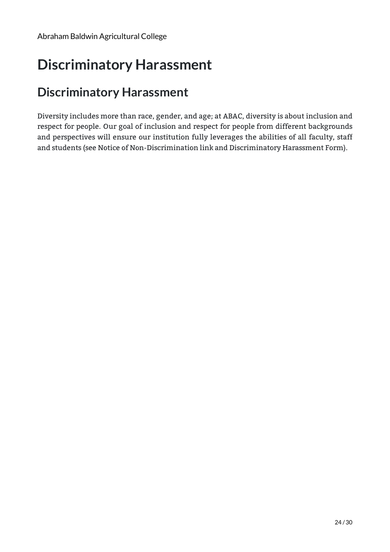## <span id="page-23-0"></span>**Discriminatory Harassment**

### **Discriminatory Harassment**

Diversity includes more than race, gender, and age; at ABAC, diversity is about inclusion and respect for people. Our goal of inclusion and respect for people from different backgrounds and perspectives will ensure our institution fully leverages the abilities of all faculty, staff and students (see Notice of Non-Discrimination link and Discriminatory Harassment Form).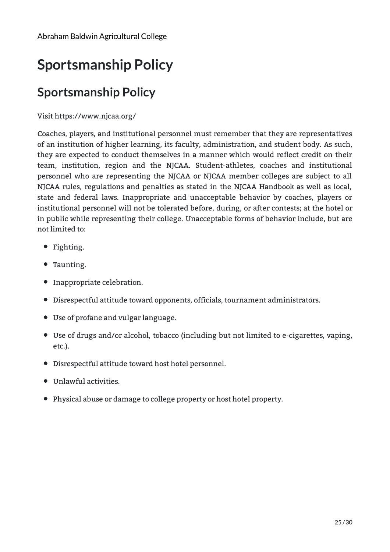# <span id="page-24-0"></span>**Sportsmanship Policy**

## **Sportsmanship Policy**

#### Visit [https://www.njcaa.org/](file:///pages/null)

Coaches, players, and institutional personnel must remember that they are representatives of an institution of higher learning, its faculty, administration, and student body. As such, they are expected to conduct themselves in a manner which would reflect credit on their team, institution, region and the NJCAA. Student-athletes, coaches and institutional personnel who are representing the NJCAA or NJCAA member colleges are subject to all NJCAA rules, regulations and penalties as stated in the NJCAA Handbook as well as local, state and federal laws. Inappropriate and unacceptable behavior by coaches, players or institutional personnel will not be tolerated before, during, or after contests; at the hotel or in public while representing their college. Unacceptable forms of behavior include, but are not limited to:

- Fighting.
- Taunting.
- $\bullet$  Inappropriate celebration.
- Disrespectful attitude toward opponents, officials, tournament administrators.
- Use of profane and vulgar language.
- Use of drugs and/or alcohol, tobacco (including but not limited to e-cigarettes, vaping, etc.).
- Disrespectful attitude toward host hotel personnel.
- Unlawful activities.
- Physical abuse or damage to college property or host hotel property.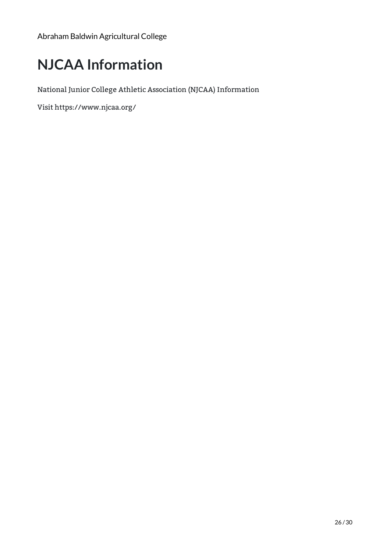# <span id="page-25-0"></span>**NJCAA Information**

National Junior College Athletic Association (NJCAA) Information

Visit <https://www.njcaa.org/>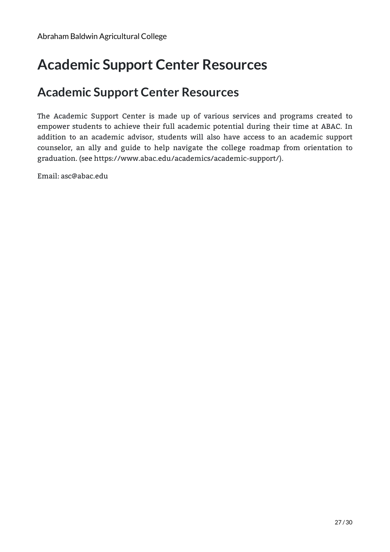## <span id="page-26-0"></span>**Academic Support Center Resources**

### **Academic Support Center Resources**

The Academic Support Center is made up of various services and programs created to empower students to achieve their full academic potential during their time at ABAC. In addition to an academic advisor, students will also have access to an academic support counselor, an ally and guide to help navigate the college roadmap from orientation to graduation. (see <https://www.abac.edu/academics/academic-support/>).

Email: [asc@abac.edu](mailto:asc@abac.edu)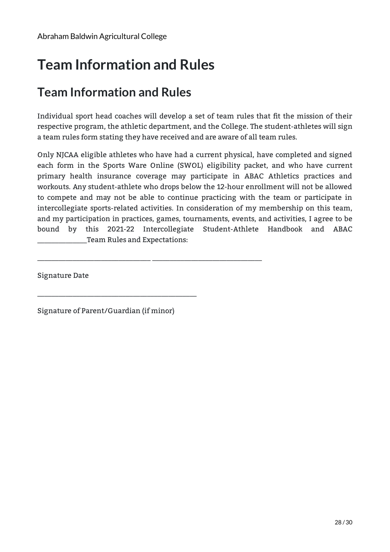# <span id="page-27-0"></span>**Team Information and Rules**

## **Team Information and Rules**

Individual sport head coaches will develop a set of team rules that fit the mission of their respective program, the athletic department, and the College. The student-athletes will sign a team rules form stating they have received and are aware of all team rules.

Only NJCAA eligible athletes who have had a current physical, have completed and signed each form in the Sports Ware Online (SWOL) eligibility packet, and who have current primary health insurance coverage may participate in ABAC Athletics practices and workouts. Any student-athlete who drops below the 12-hour enrollment will not be allowed to compete and may not be able to continue practicing with the team or participate in intercollegiate sports-related activities. In consideration of my membership on this team, and my participation in practices, games, tournaments, events, and activities, I agree to be bound by this 2021-22 Intercollegiate Student-Athlete Handbook and ABAC Team Rules and Expectations:

Signature Date

Signature of Parent/Guardian (if minor)

\_\_\_\_\_\_\_\_\_\_\_\_\_\_\_\_\_\_\_\_\_\_\_\_\_\_\_\_\_\_\_\_\_\_\_\_\_\_\_\_\_\_\_\_\_

\_\_\_\_\_\_\_\_\_\_\_\_\_\_\_\_\_\_\_\_\_\_\_\_\_\_\_\_\_\_\_\_ \_\_\_\_\_\_\_\_\_\_\_\_\_\_\_\_\_\_\_\_\_\_\_\_\_\_\_\_\_\_\_